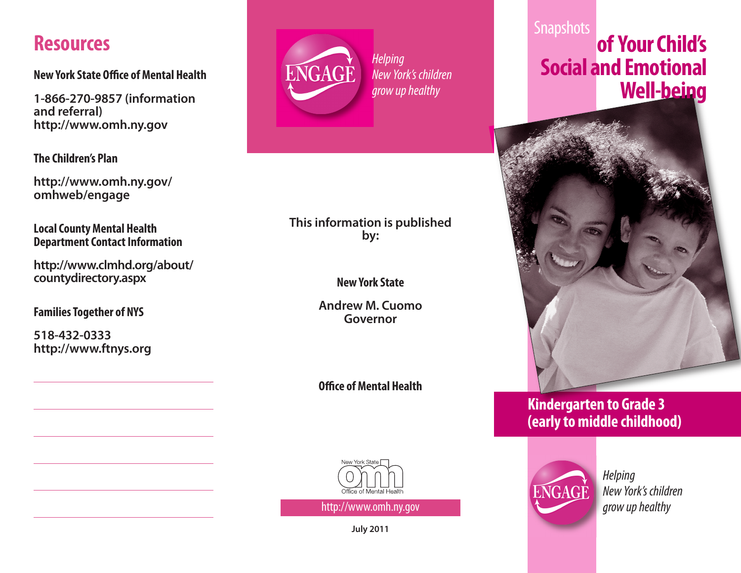## **Resources**

**New York State Office of Mental Health** 

**1-866-270-9857 (information and referral) http://www.omh.ny.gov**

**The Children's Plan**

**http://www.omh.ny.gov/ omhweb/engage**

**Local County Mental Health Department Contact Information** 

**http://www.clmhd.org/about/ countydirectory.aspx**

**FamiliesTogether of NYS**

**518-432-0333 http://www.ftnys.org**



**Helping** New York's children grow up healthy

### **This information is published by:**

**NewYork State**

**Andrew M. Cuomo Governor**

**O/ce ofMental Health**



http://www.omh.ny.gov

**July 2011**

### **Snapshots of YourChild's Social and Emotional Well-being**



### **Kindergarten to Grade 3 (earlytomiddle childhood)**



**Helping** New York's children grow up healthy